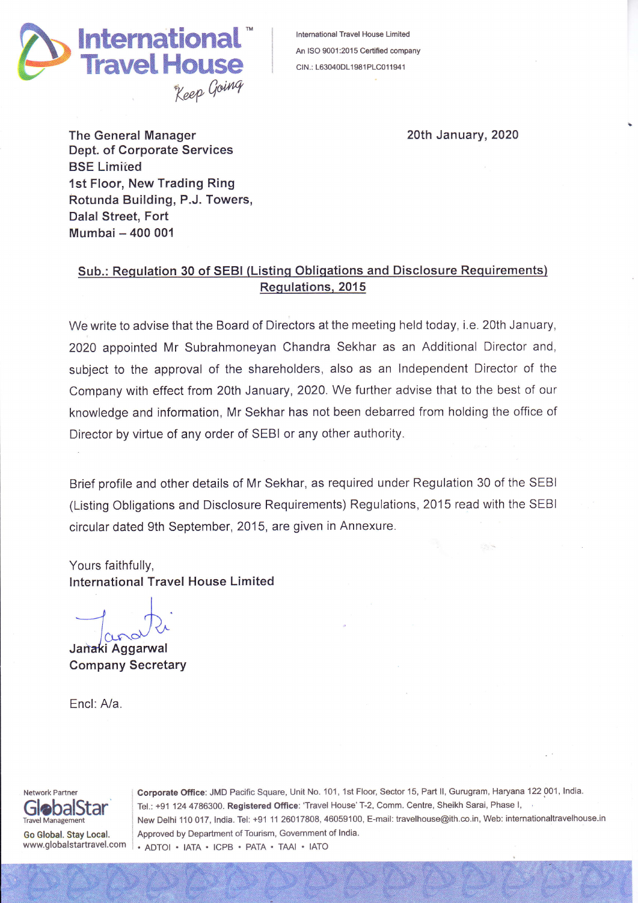

lntemational Travel House Limited An ISO 9001:2015 Certified company CIN.: L63040DL1981PLC011941

20th January,2020

The General Manager Dept. of Corporate Services **BSE Limited** 1st Floor, New Trading Ring Rotunda Building, P.J. Towers, Dalal Street, Fort Mumbai - 400 <sup>001</sup>

## Sub.: Requlation 30 of SEBI (Listinq Obligations and Disclosure Requirements) Requlations, 2015

We write to advise that the Board of Directors at the meeting held today, i.e. 20th January, 2020 appointed Mr Subrahmoneyan Chandra Sekhar as an Additional Director and, subject to the approval of the shareholders, also as an lndependent Director of the Company with effect from 20th January, 2020. We further advise that to the best of our knowledge and information, Mr Sekhar has not been debarred from holding the office of Director by virtue of any order of SEBI or any other authority.

Brief profile and other details of Mr Sekhar, as required under Regulation 30 of the SEBI (Listing Obligations and Disclosure Requirements) Regulations,2015 read with the SEBI circular dated 9th September,2015, are given in Annexure.

Yours faithfully, lnternational Travel House Limited

/ cural

Janaki Aggarwal Company Secretary

Encl: A/a.



Go Global. Stay Local. www. globalstartravel.com Corporate Office: JMD Pacific Square, Unit No. 101, 1st Floor, Sector 15, Part II, Gurugram, Haryana 122 001, India. Tel.: +91 124 4786300. Registered Office: 'Travel House' T-2, Comm. Centre, Sheikh Sarai, Phase I, New Delhi 110 017, India. Tel: +91 11 26017808, 46059100, E-mail: travelhouse@ith.co.in, Web: internationaltravelhouse.in Approved by Department of Tourism, Govemment of lndia. . ADTOI . IATA . ICPB . PATA . TAAI . IATO